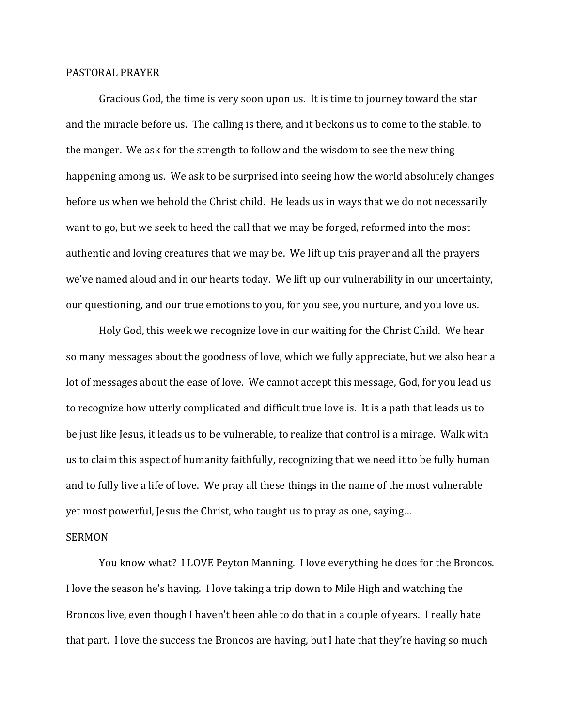## PASTORAL PRAYER

 Gracious God, the time is very soon upon us. It is time to journey toward the star and the miracle before us. The calling is there, and it beckons us to come to the stable, to the manger. We ask for the strength to follow and the wisdom to see the new thing happening among us. We ask to be surprised into seeing how the world absolutely changes before us when we behold the Christ child. He leads us in ways that we do not necessarily want to go, but we seek to heed the call that we may be forged, reformed into the most authentic and loving creatures that we may be. We lift up this prayer and all the prayers we've named aloud and in our hearts today. We lift up our vulnerability in our uncertainty, our questioning, and our true emotions to you, for you see, you nurture, and you love us.

 Holy God, this week we recognize love in our waiting for the Christ Child. We hear so many messages about the goodness of love, which we fully appreciate, but we also hear a lot of messages about the ease of love. We cannot accept this message, God, for you lead us to recognize how utterly complicated and difficult true love is. It is a path that leads us to be just like Jesus, it leads us to be vulnerable, to realize that control is a mirage. Walk with us to claim this aspect of humanity faithfully, recognizing that we need it to be fully human and to fully live a life of love. We pray all these things in the name of the most vulnerable yet most powerful, Jesus the Christ, who taught us to pray as one, saying…

## SERMON

 You know what? I LOVE Peyton Manning. I love everything he does for the Broncos. I love the season he's having. I love taking a trip down to Mile High and watching the Broncos live, even though I haven't been able to do that in a couple of years. I really hate that part. I love the success the Broncos are having, but I hate that they're having so much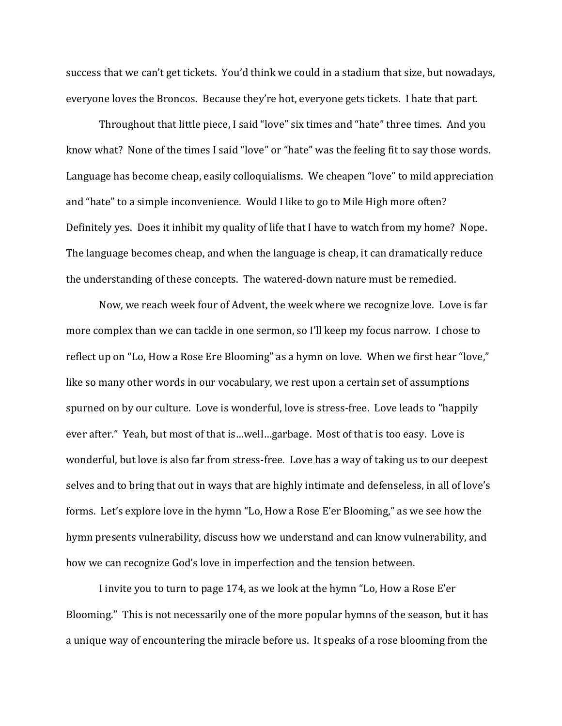success that we can't get tickets. You'd think we could in a stadium that size, but nowadays, everyone loves the Broncos. Because they're hot, everyone gets tickets. I hate that part.

 Throughout that little piece, I said "love" six times and "hate" three times. And you know what? None of the times I said "love" or "hate" was the feeling fit to say those words. Language has become cheap, easily colloquialisms. We cheapen "love" to mild appreciation and "hate" to a simple inconvenience. Would I like to go to Mile High more often? Definitely yes. Does it inhibit my quality of life that I have to watch from my home? Nope. The language becomes cheap, and when the language is cheap, it can dramatically reduce the understanding of these concepts. The watered-down nature must be remedied.

 Now, we reach week four of Advent, the week where we recognize love. Love is far more complex than we can tackle in one sermon, so I'll keep my focus narrow. I chose to reflect up on "Lo, How a Rose Ere Blooming" as a hymn on love. When we first hear "love," like so many other words in our vocabulary, we rest upon a certain set of assumptions spurned on by our culture. Love is wonderful, love is stress-free. Love leads to "happily ever after." Yeah, but most of that is…well…garbage. Most of that is too easy. Love is wonderful, but love is also far from stress-free. Love has a way of taking us to our deepest selves and to bring that out in ways that are highly intimate and defenseless, in all of love's forms. Let's explore love in the hymn "Lo, How a Rose E'er Blooming," as we see how the hymn presents vulnerability, discuss how we understand and can know vulnerability, and how we can recognize God's love in imperfection and the tension between.

 I invite you to turn to page 174, as we look at the hymn "Lo, How a Rose E'er Blooming." This is not necessarily one of the more popular hymns of the season, but it has a unique way of encountering the miracle before us. It speaks of a rose blooming from the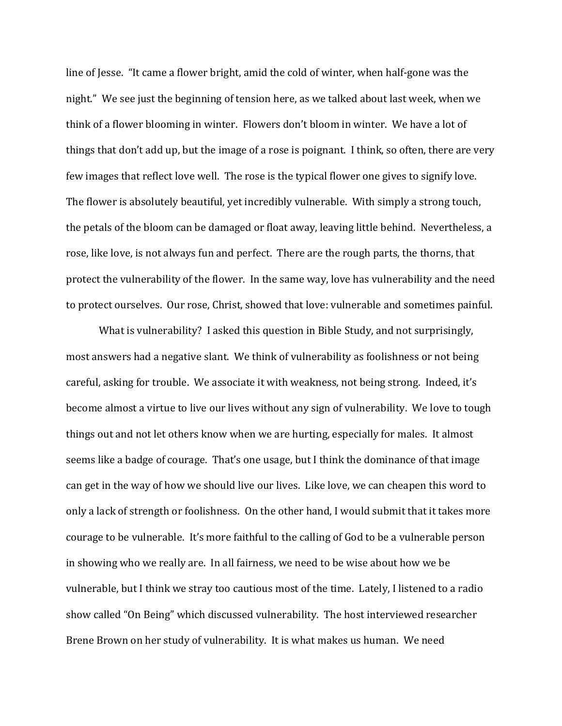line of Jesse. "It came a flower bright, amid the cold of winter, when half-gone was the night." We see just the beginning of tension here, as we talked about last week, when we think of a flower blooming in winter. Flowers don't bloom in winter. We have a lot of things that don't add up, but the image of a rose is poignant. I think, so often, there are very few images that reflect love well. The rose is the typical flower one gives to signify love. The flower is absolutely beautiful, yet incredibly vulnerable. With simply a strong touch, the petals of the bloom can be damaged or float away, leaving little behind. Nevertheless, a rose, like love, is not always fun and perfect. There are the rough parts, the thorns, that protect the vulnerability of the flower. In the same way, love has vulnerability and the need to protect ourselves. Our rose, Christ, showed that love: vulnerable and sometimes painful.

 What is vulnerability? I asked this question in Bible Study, and not surprisingly, most answers had a negative slant. We think of vulnerability as foolishness or not being careful, asking for trouble. We associate it with weakness, not being strong. Indeed, it's become almost a virtue to live our lives without any sign of vulnerability. We love to tough things out and not let others know when we are hurting, especially for males. It almost seems like a badge of courage. That's one usage, but I think the dominance of that image can get in the way of how we should live our lives. Like love, we can cheapen this word to only a lack of strength or foolishness. On the other hand, I would submit that it takes more courage to be vulnerable. It's more faithful to the calling of God to be a vulnerable person in showing who we really are. In all fairness, we need to be wise about how we be vulnerable, but I think we stray too cautious most of the time. Lately, I listened to a radio show called "On Being" which discussed vulnerability. The host interviewed researcher Brene Brown on her study of vulnerability. It is what makes us human. We need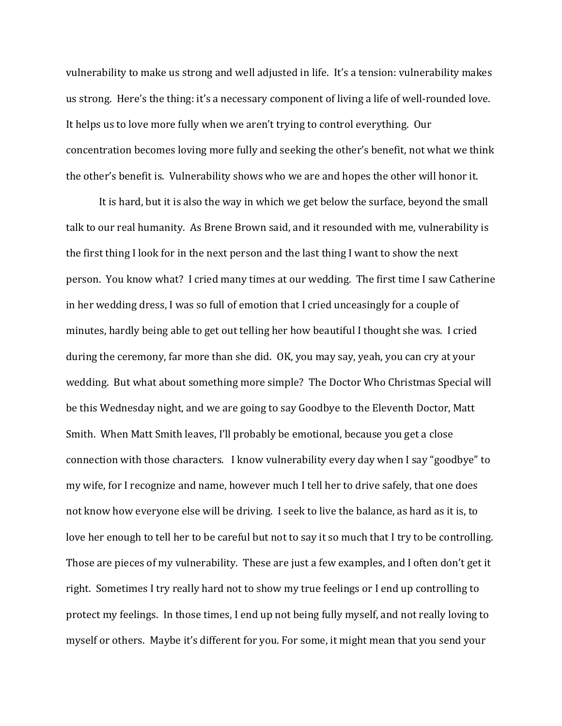vulnerability to make us strong and well adjusted in life. It's a tension: vulnerability makes us strong. Here's the thing: it's a necessary component of living a life of well-rounded love. It helps us to love more fully when we aren't trying to control everything. Our concentration becomes loving more fully and seeking the other's benefit, not what we think the other's benefit is. Vulnerability shows who we are and hopes the other will honor it.

 It is hard, but it is also the way in which we get below the surface, beyond the small talk to our real humanity. As Brene Brown said, and it resounded with me, vulnerability is the first thing I look for in the next person and the last thing I want to show the next person. You know what? I cried many times at our wedding. The first time I saw Catherine in her wedding dress, I was so full of emotion that I cried unceasingly for a couple of minutes, hardly being able to get out telling her how beautiful I thought she was. I cried during the ceremony, far more than she did. OK, you may say, yeah, you can cry at your wedding. But what about something more simple? The Doctor Who Christmas Special will be this Wednesday night, and we are going to say Goodbye to the Eleventh Doctor, Matt Smith. When Matt Smith leaves, I'll probably be emotional, because you get a close connection with those characters. I know vulnerability every day when I say "goodbye" to my wife, for I recognize and name, however much I tell her to drive safely, that one does not know how everyone else will be driving. I seek to live the balance, as hard as it is, to love her enough to tell her to be careful but not to say it so much that I try to be controlling. Those are pieces of my vulnerability. These are just a few examples, and I often don't get it right. Sometimes I try really hard not to show my true feelings or I end up controlling to protect my feelings. In those times, I end up not being fully myself, and not really loving to myself or others. Maybe it's different for you. For some, it might mean that you send your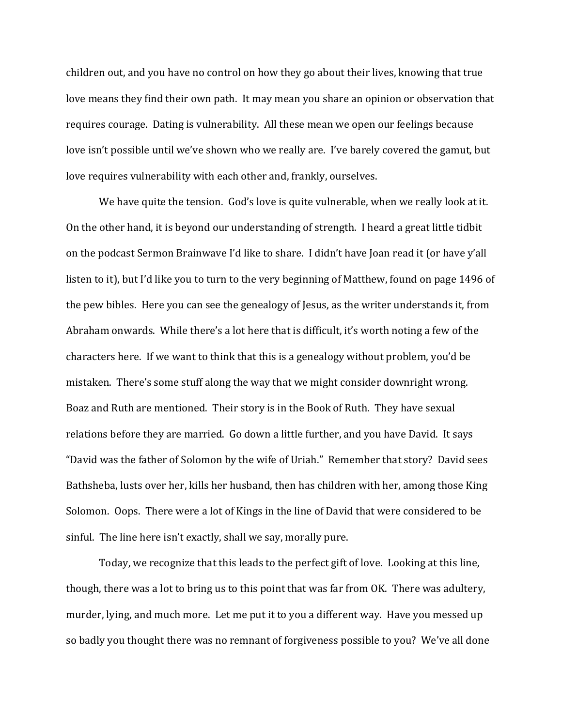children out, and you have no control on how they go about their lives, knowing that true love means they find their own path. It may mean you share an opinion or observation that requires courage. Dating is vulnerability. All these mean we open our feelings because love isn't possible until we've shown who we really are. I've barely covered the gamut, but love requires vulnerability with each other and, frankly, ourselves.

 We have quite the tension. God's love is quite vulnerable, when we really look at it. On the other hand, it is beyond our understanding of strength. I heard a great little tidbit on the podcast Sermon Brainwave I'd like to share. I didn't have Joan read it (or have y'all listen to it), but I'd like you to turn to the very beginning of Matthew, found on page 1496 of the pew bibles. Here you can see the genealogy of Jesus, as the writer understands it, from Abraham onwards. While there's a lot here that is difficult, it's worth noting a few of the characters here. If we want to think that this is a genealogy without problem, you'd be mistaken. There's some stuff along the way that we might consider downright wrong. Boaz and Ruth are mentioned. Their story is in the Book of Ruth. They have sexual relations before they are married. Go down a little further, and you have David. It says "David was the father of Solomon by the wife of Uriah." Remember that story? David sees Bathsheba, lusts over her, kills her husband, then has children with her, among those King Solomon. Oops. There were a lot of Kings in the line of David that were considered to be sinful. The line here isn't exactly, shall we say, morally pure.

 Today, we recognize that this leads to the perfect gift of love. Looking at this line, though, there was a lot to bring us to this point that was far from OK. There was adultery, murder, lying, and much more. Let me put it to you a different way. Have you messed up so badly you thought there was no remnant of forgiveness possible to you? We've all done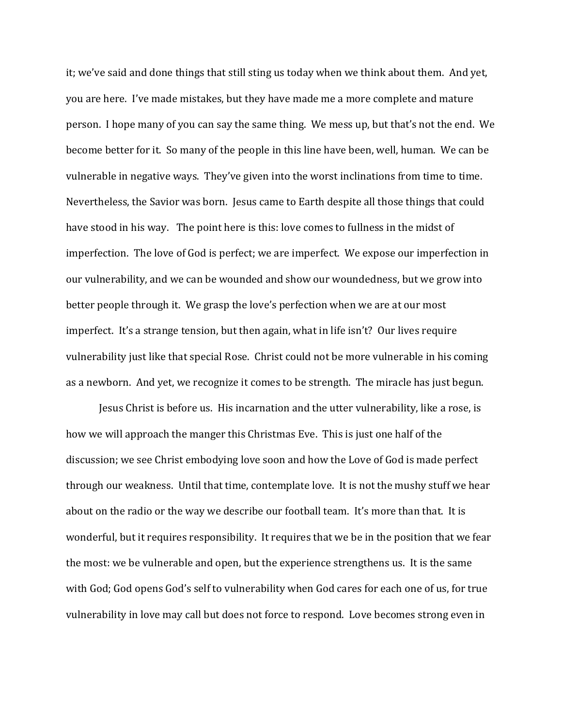it; we've said and done things that still sting us today when we think about them. And yet, you are here. I've made mistakes, but they have made me a more complete and mature person. I hope many of you can say the same thing. We mess up, but that's not the end. We become better for it. So many of the people in this line have been, well, human. We can be vulnerable in negative ways. They've given into the worst inclinations from time to time. Nevertheless, the Savior was born. Jesus came to Earth despite all those things that could have stood in his way. The point here is this: love comes to fullness in the midst of imperfection. The love of God is perfect; we are imperfect. We expose our imperfection in our vulnerability, and we can be wounded and show our woundedness, but we grow into better people through it. We grasp the love's perfection when we are at our most imperfect. It's a strange tension, but then again, what in life isn't? Our lives require vulnerability just like that special Rose. Christ could not be more vulnerable in his coming as a newborn. And yet, we recognize it comes to be strength. The miracle has just begun.

 Jesus Christ is before us. His incarnation and the utter vulnerability, like a rose, is how we will approach the manger this Christmas Eve. This is just one half of the discussion; we see Christ embodying love soon and how the Love of God is made perfect through our weakness. Until that time, contemplate love. It is not the mushy stuff we hear about on the radio or the way we describe our football team. It's more than that. It is wonderful, but it requires responsibility. It requires that we be in the position that we fear the most: we be vulnerable and open, but the experience strengthens us. It is the same with God; God opens God's self to vulnerability when God cares for each one of us, for true vulnerability in love may call but does not force to respond. Love becomes strong even in